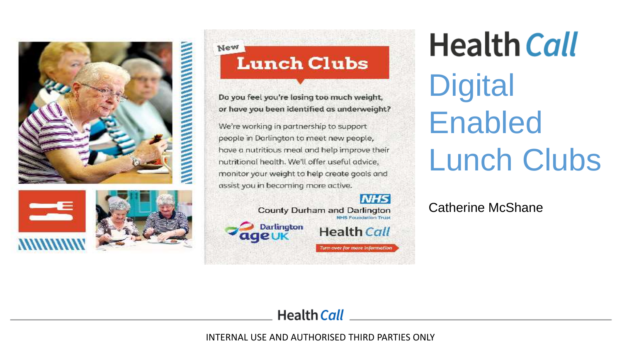





New **Lunch Clubs** 

Do you feel you're losing too much weight, or have you been identified as underweight?

We're working in partnership to support people in Darlington to meet new people, have a nutritious meal and help improve their nutritional health. We'll offer useful advice, monitor your weight to help create goals and assist you in becoming more active.

#### **NHS**

Turn over for more information

County Durham and Darlington **NHS Foundation Trust Darlington Health Call** ageuk

**Health Call Digital** Enabled Lunch Clubs

Catherine McShane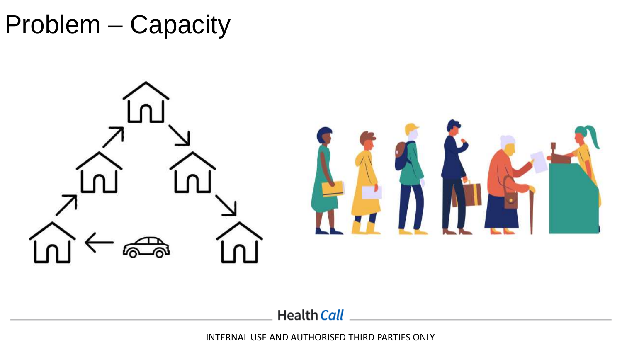Problem – Capacity



**Health Call**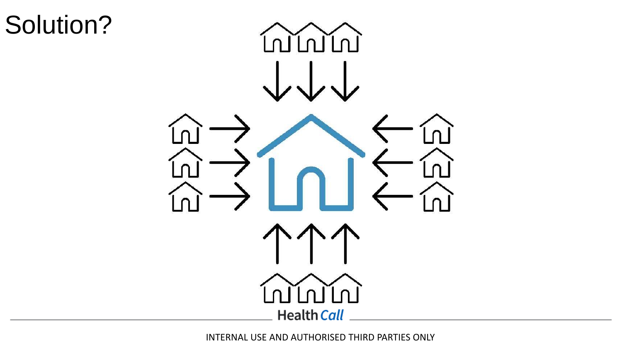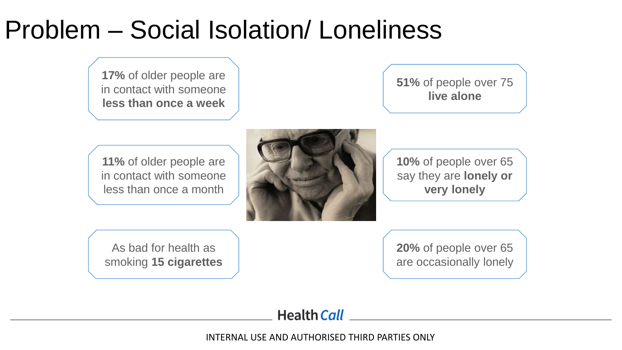# Problem – Social Isolation/ Loneliness

**17%** of older people are in contact with someone **less than once a week**

**51%** of people over 75 **live alone**

**11%** of older people are in contact with someone less than once a month



**10%** of people over 65 say they are **lonely or very lonely**

As bad for health as smoking **15 cigarettes** **20%** of people over 65 are occasionally lonely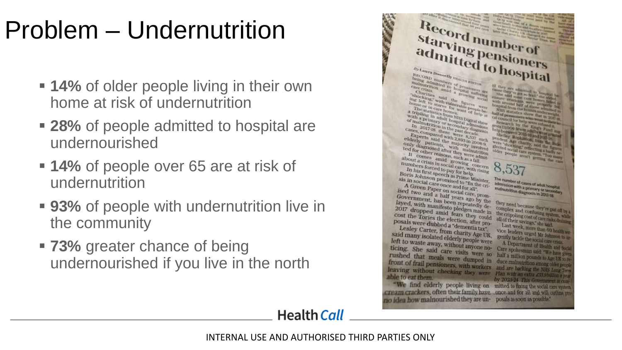# Problem – Undernutrition

- **14%** of older people living in their own home at risk of undernutrition
- 28% of people admitted to hospital are undernourished
- **= 14%** of people over 65 are at risk of undernutrition
- 93% of people with undernutrition live in the community
- **T3%** greater chance of being undernourished if you live in the north

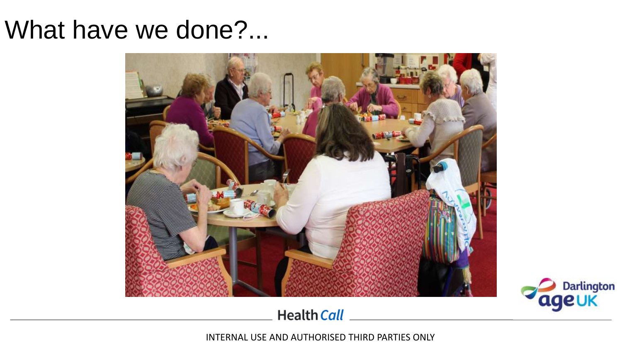### What have we done?...





**Health Call**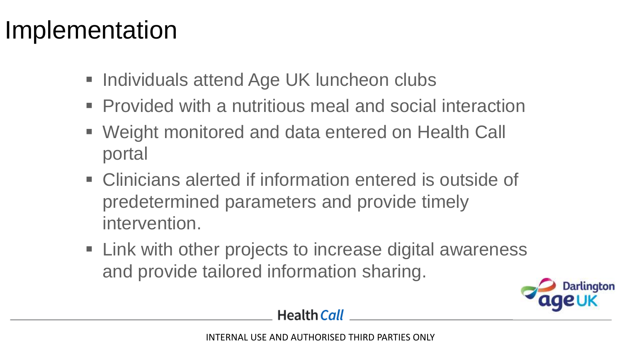## Implementation

- Individuals attend Age UK luncheon clubs
- Provided with a nutritious meal and social interaction
- Weight monitored and data entered on Health Call portal
- Clinicians alerted if information entered is outside of predetermined parameters and provide timely intervention.
- Link with other projects to increase digital awareness and provide tailored information sharing.

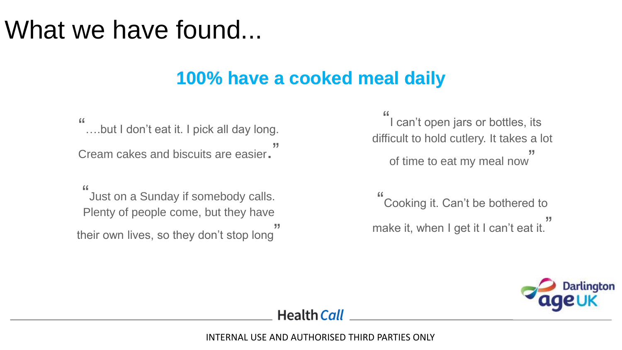### What we have found...

#### **100% have a cooked meal daily**

" ….but I don't eat it. I pick all day long. Cream cakes and biscuits are easier.

" Just on a Sunday if somebody calls. Plenty of people come, but they have their own lives, so they don't stop long ,,,

" I can't open jars or bottles, its difficult to hold cutlery. It takes a lot of time to eat my meal now ,,,

" Cooking it. Can't be bothered to make it, when I get it I can't eat it. ,,,

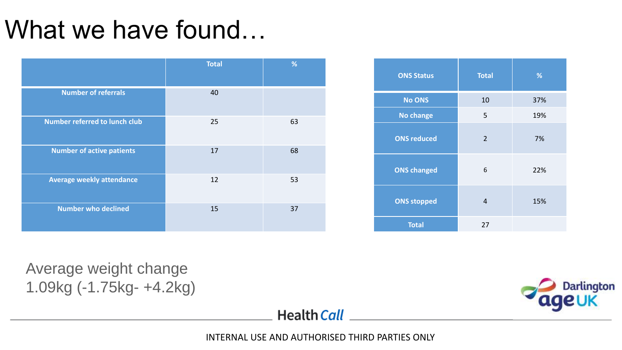# What we have found...

|                                  | <b>Total</b> | %  |
|----------------------------------|--------------|----|
| <b>Number of referrals</b>       | 40           |    |
| Number referred to lunch club    | 25           | 63 |
| <b>Number of active patients</b> | 17           | 68 |
| <b>Average weekly attendance</b> | 12           | 53 |
| <b>Number who declined</b>       | 15           | 37 |

| <b>ONS Status</b>  | <b>Total</b>   | %   |
|--------------------|----------------|-----|
| <b>No ONS</b>      | 10             | 37% |
| <b>No change</b>   | 5              | 19% |
| <b>ONS reduced</b> | $\overline{2}$ | 7%  |
| <b>ONS changed</b> | 6              | 22% |
| <b>ONS stopped</b> | 4              | 15% |
| <b>Total</b>       | 27             |     |

Average weight change 1.09kg (-1.75kg- +4.2kg)



**Health Call**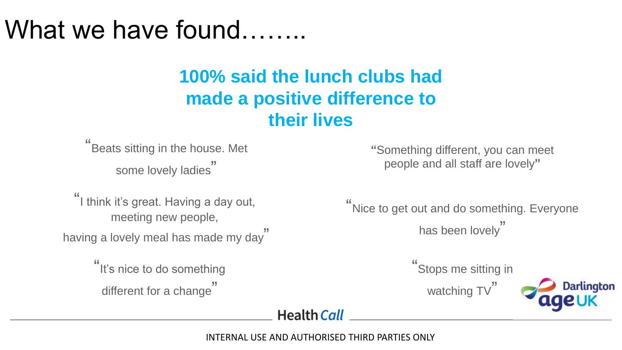## What we have found…….

#### **100% said the lunch clubs had made a positive difference to their lives**

" Beats sitting in the house. Met some lovely ladies "

" I think it's great. Having a day out, meeting new people, having a lovely meal has made my day "

> "It's nice to do something different for a change "

**"**Something different, you can meet people and all staff are lovely**"**

" Nice to get out and do something. Everyone has been lovely "

" Stops me sitting in

watching TV"



**Health Call**